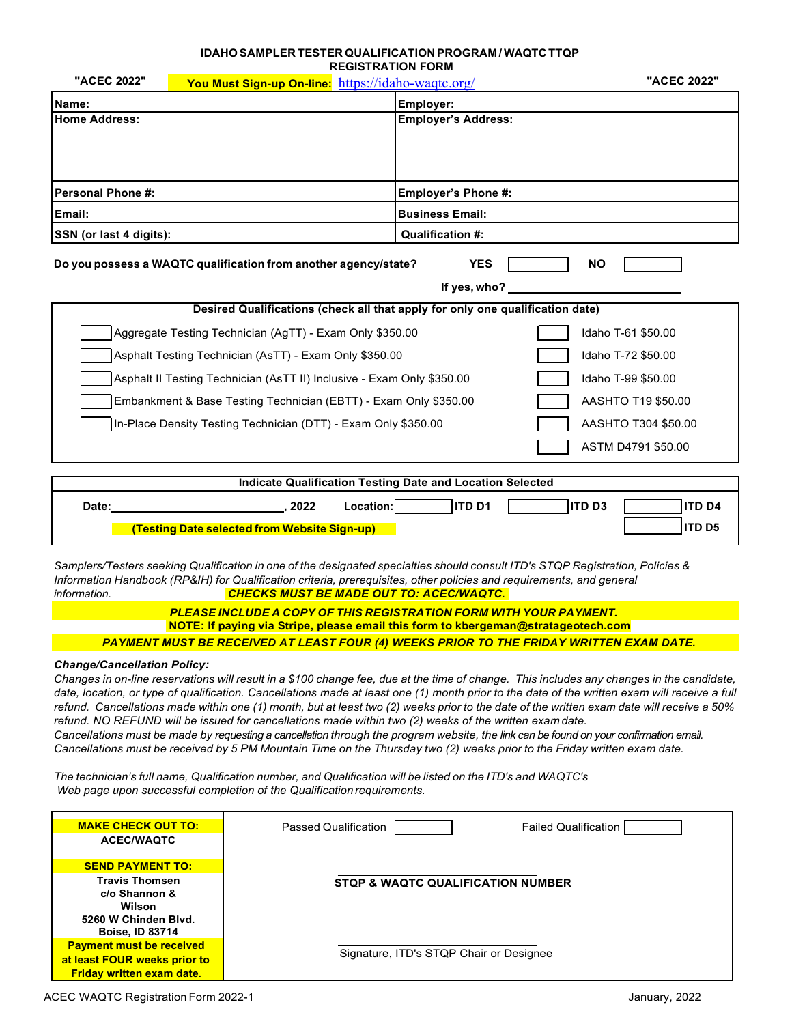## **IDAHO SAMPLER TESTER QUALIFICATION PROGRAM / WAQTC TTQP**

|                                                                        |                                                                               | <b>REGISTRATION FORM</b>   |                    |
|------------------------------------------------------------------------|-------------------------------------------------------------------------------|----------------------------|--------------------|
| "ACEC 2022"                                                            | You Must Sign-up On-line: https://idaho-waqtc.org/                            |                            | "ACEC 2022"        |
| Name:                                                                  |                                                                               | Employer:                  |                    |
| <b>Home Address:</b>                                                   |                                                                               | <b>Employer's Address:</b> |                    |
| <b>Personal Phone #:</b>                                               |                                                                               | Employer's Phone #:        |                    |
| Email:                                                                 |                                                                               | <b>Business Email:</b>     |                    |
| SSN (or last 4 digits):                                                |                                                                               | Qualification #:           |                    |
|                                                                        | Do you possess a WAQTC qualification from another agency/state?               | <b>YES</b><br>If yes, who? | <b>NO</b>          |
|                                                                        | Desired Qualifications (check all that apply for only one qualification date) |                            |                    |
|                                                                        | Aggregate Testing Technician (AgTT) - Exam Only \$350.00                      |                            | Idaho T-61 \$50.00 |
| Asphalt Testing Technician (AsTT) - Exam Only \$350.00                 |                                                                               |                            | Idaho T-72 \$50.00 |
| Asphalt II Testing Technician (AsTT II) Inclusive - Exam Only \$350.00 |                                                                               |                            | Idaho T-99 \$50.00 |
| Embankment & Base Testing Technician (EBTT) - Exam Only \$350.00       |                                                                               |                            | AASHTO T19 \$50.00 |
| In-Place Density Testing Technician (DTT) - Exam Only \$350.00         |                                                                               | AASHTO T304 \$50.00        |                    |
|                                                                        |                                                                               |                            | ASTM D4791 \$50.00 |

| Indicate Qualification Testing Date and Location Selected |                                                     |                       |                |         |  |  |
|-----------------------------------------------------------|-----------------------------------------------------|-----------------------|----------------|---------|--|--|
| Date:                                                     | 2022                                                | litd D1<br>Location:I | <b>IITD D3</b> | litd D4 |  |  |
|                                                           | <b>(Testing Date selected from Website Sign-up)</b> |                       |                | litd D5 |  |  |

Samplers/Testers seeking Qualification in one of the designated specialties should consult ITD's STQP Registration, Policies & *Information Handbook (RP&IH) for Qualification criteria, prerequisites, other policies and requirements, and general information. CHECKS MUST BE MADE OUT TO: ACEC/WAQTC.*

> **[NOTE: If paying via Stripe, please email this form to kbergeman@stratageotech.com](mailto:IfpayingviaPayPal%2Cpleaseemailthisformtokbergeman@stratageotech.com)** *PLEASE INCLUDE A COPY OF THIS REGISTRATION FORM WITH YOUR PAYMENT.*

### *PAYMENT MUST BE RECEIVED AT LEAST FOUR (4) WEEKS PRIOR TO THE FRIDAY WRITTEN EXAM DATE.*

#### *Change/Cancellation Policy:*

Changes in on-line reservations will result in a \$100 change fee, due at the time of change. This includes any changes in the candidate, *date, location, or type of qualification. Cancellations made at least one (1) month prior to the date of the written exam will receive a full* refund. Cancellations made within one (1) month, but at least two (2) weeks prior to the date of the written exam date will receive a 50% *refund. NO REFUND will be issued for cancellations made within two (2) weeks of the written exam date.*

*Cancellations must be made by requesting a cancellation through the program website, the link can be found on your confirmation email.*  Cancellations must be received by 5 PM Mountain Time on the Thursday two (2) weeks prior to the Friday written exam date.

*The technician's full name, Qualification number, and Qualification will be listed on the ITD's and WAQTC's Web page upon successful completion of the Qualification requirements.*

| <b>MAKE CHECK OUT TO:</b><br><b>ACEC/WAQTC</b>                                                      | <b>Passed Qualification</b><br><b>Failed Qualification</b> |
|-----------------------------------------------------------------------------------------------------|------------------------------------------------------------|
| <b>SEND PAYMENT TO:</b>                                                                             |                                                            |
| <b>Travis Thomsen</b><br>c/o Shannon &<br>Wilson<br>5260 W Chinden Blvd.<br><b>Boise, ID 83714</b>  | <b>STOP &amp; WAQTC QUALIFICATION NUMBER</b>               |
| <b>Payment must be received</b><br>at least FOUR weeks prior to<br><b>Friday written exam date.</b> | Signature, ITD's STQP Chair or Designee                    |